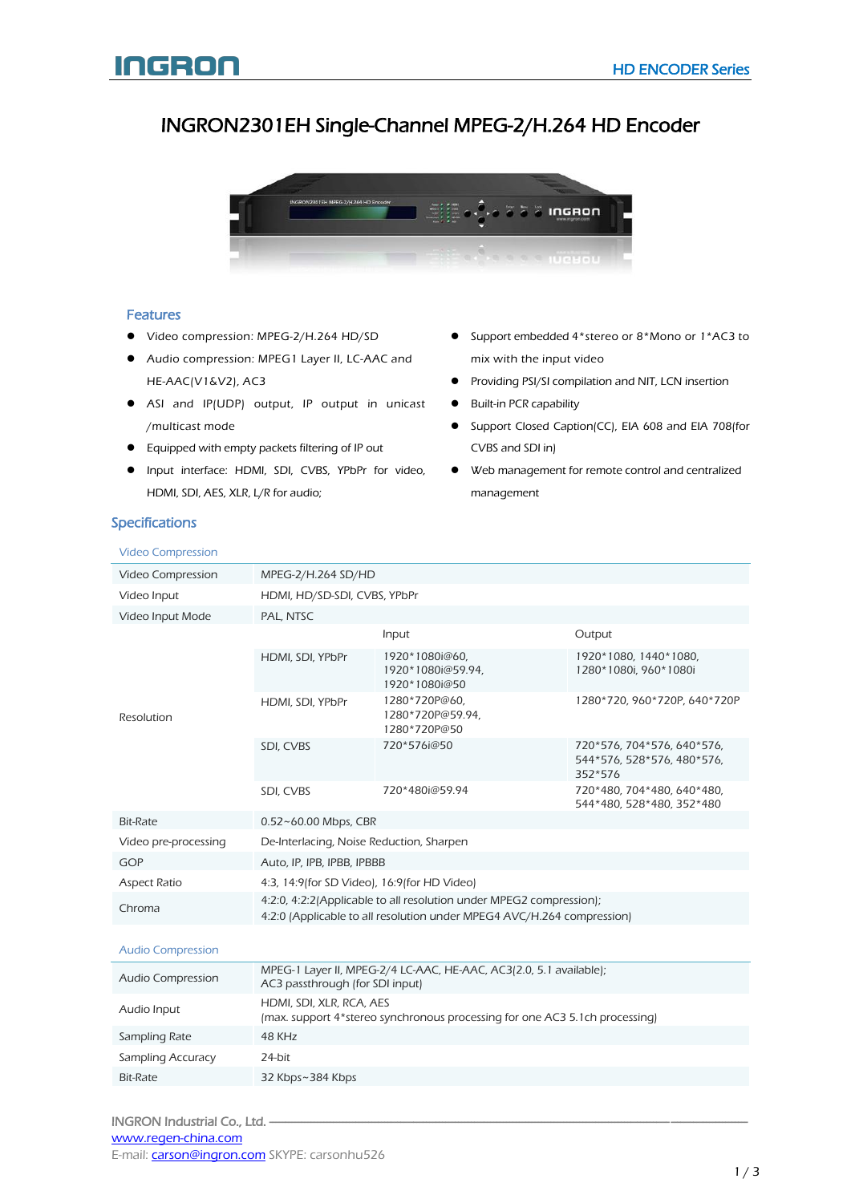# INGRON2301EH Single-Channel MPEG-2/H.264 HD Encoder



### Features

- Video compression: MPEG-2/H.264 HD/SD
- Audio compression: MPEG1 Layer II, LC-AAC and HE-AAC(V1&V2), AC3
- ASI and IP(UDP) output, IP output in unicast /multicast mode
- **•** Equipped with empty packets filtering of IP out
- Input interface: HDMI, SDI, CVBS, YPbPr for video, HDMI, SDI, AES, XLR, L/R for audio;
- Support embedded 4\*stereo or 8\*Mono or 1\*AC3 to mix with the input video
- Providing PSI/SI compilation and NIT, LCN insertion
- Built-in PCR capability
- Support Closed Caption(CC), EIA 608 and EIA 708(for CVBS and SDI in)
- Web management for remote control and centralized management

### Specifications

#### Video Compression Video Compression MPEG-2/H.264 SD/HD Video Input HDMI, HD/SD-SDI, CVBS, YPbPr Video Input Mode PAL, NTSC Resolution Input Output HDMI, SDI, YPbPr 1920\*1080i@60, 1920\*1080i@59.94, 1920\*1080i@50 1920\*1080, 1440\*1080, 1280\*1080i, 960\*1080i HDMI, SDI, YPbPr 1280\*720P@60, 1280\*720P@59.94, 1280\*720P@50 1280\*720, 960\*720P, 640\*720P SDI, CVBS 720\*576i@50 720\*576, 704\*576, 640\*576, 544\*576, 528\*576, 480\*576, 352\*576 SDI, CVBS 720\*480i@59.94 720\*480, 704\*480, 640\*480, 544\*480, 528\*480, 352\*480 Bit-Rate 0.52~60.00 Mbps, CBR Video pre-processing De-Interlacing, Noise Reduction, Sharpen GOP Auto, IP, IPB, IPBB, IPBBB Aspect Ratio 4:3, 14:9(for SD Video), 16:9(for HD Video) Chroma 4:2:0, 4:2:2(Applicable to all resolution under MPEG2 compression); 4:2:0 (Applicable to all resolution under MPEG4 AVC/H.264 compression) Audio Compression

| Audio Compression | MPEG-1 Layer II, MPEG-2/4 LC-AAC, HE-AAC, AC3(2.0, 5.1 available);<br>AC3 passthrough (for SDI input)   |
|-------------------|---------------------------------------------------------------------------------------------------------|
| Audio Input       | HDMI, SDI, XLR, RCA, AES<br>(max. support 4*stereo synchronous processing for one AC3 5.1ch processing) |
| Sampling Rate     | 48 KH <sub>7</sub>                                                                                      |
| Sampling Accuracy | 24-bit                                                                                                  |
| Bit-Rate          | 32 Kbps~384 Kbps                                                                                        |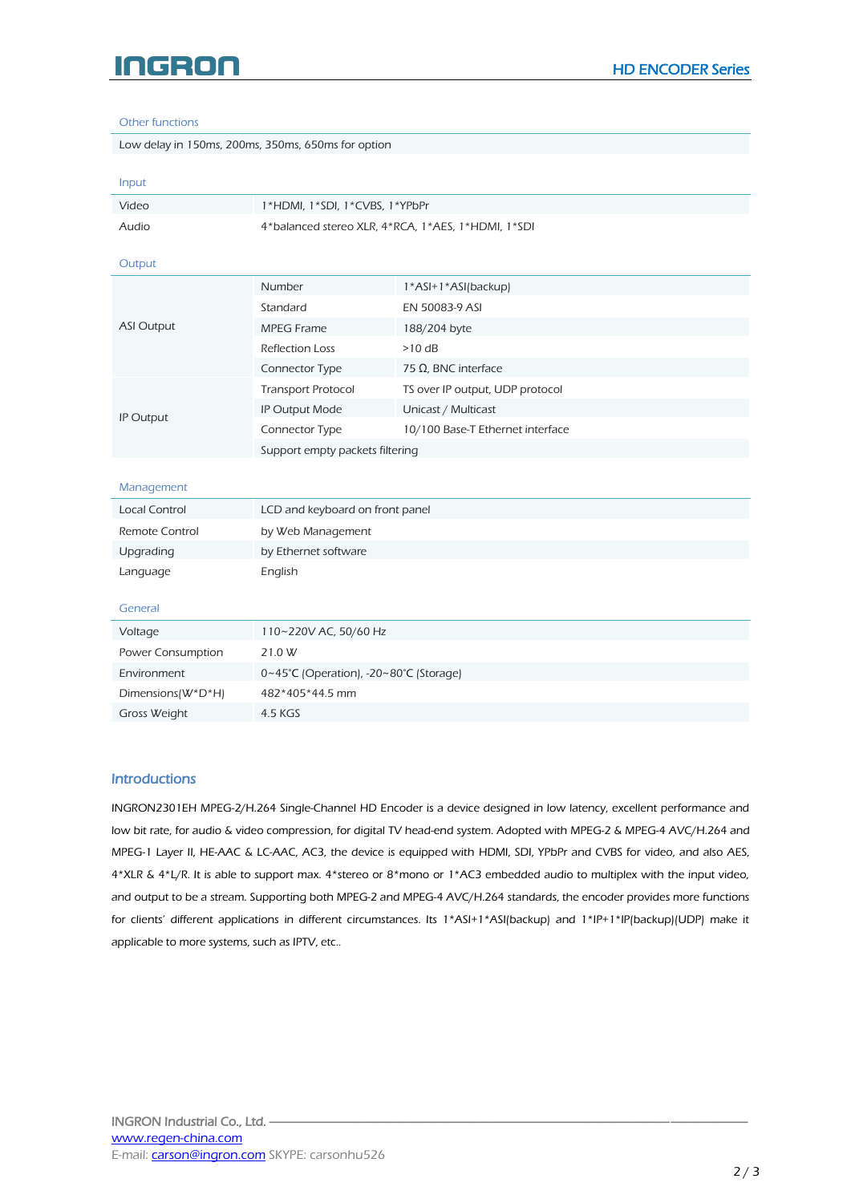# INGRON

#### Other functions

|  | Low delay in 150ms, 200ms, 350ms, 650ms for option |
|--|----------------------------------------------------|
|  |                                                    |

| Input             |                                                    |                                  |  |
|-------------------|----------------------------------------------------|----------------------------------|--|
| Video             | 1*HDMI, 1*SDI, 1*CVBS, 1*YPbPr                     |                                  |  |
| Audio             | 4*balanced stereo XLR, 4*RCA, 1*AES, 1*HDMI, 1*SDI |                                  |  |
| Output            |                                                    |                                  |  |
| <b>ASI Output</b> | Number                                             | 1*ASI+1*ASI(backup)              |  |
|                   | Standard                                           | EN 50083-9 ASI                   |  |
|                   | <b>MPEG Frame</b>                                  | 188/204 byte                     |  |
|                   | <b>Reflection Loss</b>                             | $>10$ dB                         |  |
|                   | Connector Type                                     | 75 Ω, BNC interface              |  |
|                   | <b>Transport Protocol</b>                          | TS over IP output, UDP protocol  |  |
| IP Output         | IP Output Mode                                     | Unicast / Multicast              |  |
|                   | Connector Type                                     | 10/100 Base-T Ethernet interface |  |
|                   | Support empty packets filtering                    |                                  |  |
|                   |                                                    |                                  |  |
| Management        |                                                    |                                  |  |
| Local Control     | LCD and keyboard on front panel                    |                                  |  |
| Remote Control    | by Web Management                                  |                                  |  |
| Upgrading         | by Ethernet software                               |                                  |  |
| Language          | English                                            |                                  |  |
|                   |                                                    |                                  |  |
| General           |                                                    |                                  |  |
| Voltage           | 110~220V AC, 50/60 Hz                              |                                  |  |
| Power Consumption | 21.0 W                                             |                                  |  |
| Environment       | 0~45°C (Operation), -20~80°C (Storage)             |                                  |  |
| Dimensions(W*D*H) | 482*405*44.5 mm                                    |                                  |  |

#### **Introductions**

Gross Weight 4.5 KGS

INGRON2301EH MPEG-2/H.264 Single-Channel HD Encoder is a device designed in low latency, excellent performance and low bit rate, for audio & video compression, for digital TV head-end system. Adopted with MPEG-2 & MPEG-4 AVC/H.264 and MPEG-1 Layer II, HE-AAC & LC-AAC, AC3, the device is equipped with HDMI, SDI, YPbPr and CVBS for video, and also AES, 4\*XLR & 4\*L/R. It is able to support max. 4\*stereo or 8\*mono or 1\*AC3 embedded audio to multiplex with the input video, and output to be a stream. Supporting both MPEG-2 and MPEG-4 AVC/H.264 standards, the encoder provides more functions for clients' different applications in different circumstances. Its 1\*ASI+1\*ASI(backup) and 1\*IP+1\*IP(backup)(UDP) make it applicable to more systems, such as IPTV, etc..